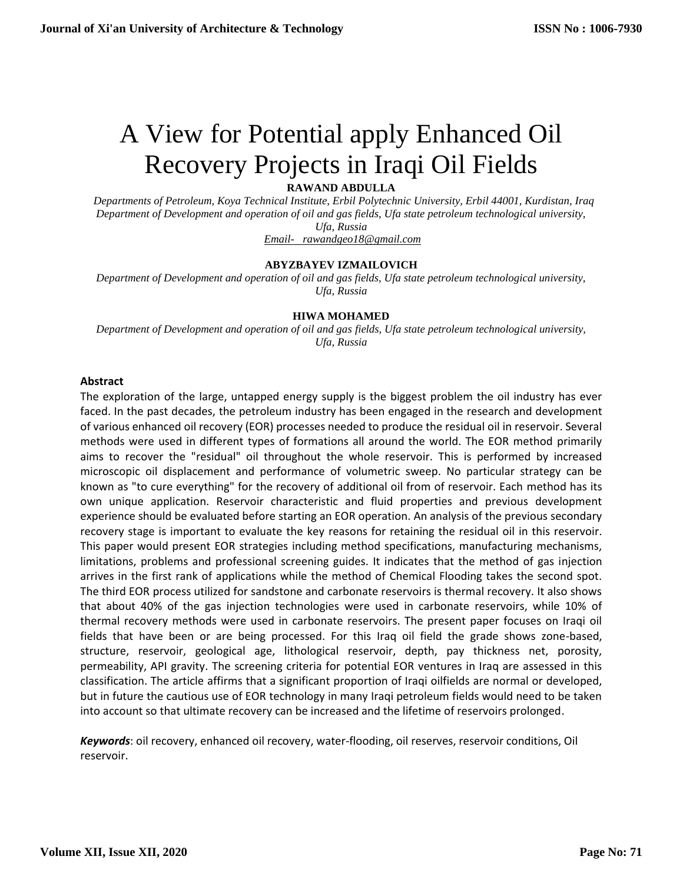# A View for Potential apply Enhanced Oil Recovery Projects in Iraqi Oil Fields

**RAWAND ABDULLA**

 *Departments of Petroleum, Koya Technical Institute, Erbil Polytechnic University, Erbil 44001, Kurdistan, Iraq Department of Development and operation of oil and gas fields, Ufa state petroleum technological university, Ufa, Russia [Email- rawandgeo18@gmail.com](mailto:Email-%20%20%20rawandgeo18@gmail.com)*

# **ABYZBAYEV IZMAILOVICH**

*Department of Development and operation of oil and gas fields, Ufa state petroleum technological university, Ufa, Russia*

#### **HIWA MOHAMED**

*Department of Development and operation of oil and gas fields, Ufa state petroleum technological university, Ufa, Russia*

#### **Abstract**

The exploration of the large, untapped energy supply is the biggest problem the oil industry has ever faced. In the past decades, the petroleum industry has been engaged in the research and development of various enhanced oil recovery (EOR) processes needed to produce the residual oil in reservoir. Several methods were used in different types of formations all around the world. The EOR method primarily aims to recover the "residual" oil throughout the whole reservoir. This is performed by increased microscopic oil displacement and performance of volumetric sweep. No particular strategy can be known as "to cure everything" for the recovery of additional oil from of reservoir. Each method has its own unique application. Reservoir characteristic and fluid properties and previous development experience should be evaluated before starting an EOR operation. An analysis of the previous secondary recovery stage is important to evaluate the key reasons for retaining the residual oil in this reservoir. This paper would present EOR strategies including method specifications, manufacturing mechanisms, limitations, problems and professional screening guides. It indicates that the method of gas injection arrives in the first rank of applications while the method of Chemical Flooding takes the second spot. The third EOR process utilized for sandstone and carbonate reservoirs is thermal recovery. It also shows that about 40% of the gas injection technologies were used in carbonate reservoirs, while 10% of thermal recovery methods were used in carbonate reservoirs. The present paper focuses on Iraqi oil fields that have been or are being processed. For this Iraq oil field the grade shows zone-based, structure, reservoir, geological age, lithological reservoir, depth, pay thickness net, porosity, permeability, API gravity. The screening criteria for potential EOR ventures in Iraq are assessed in this classification. The article affirms that a significant proportion of Iraqi oilfields are normal or developed, but in future the cautious use of EOR technology in many Iraqi petroleum fields would need to be taken into account so that ultimate recovery can be increased and the lifetime of reservoirs prolonged.

*Keywords*: oil recovery, enhanced oil recovery, water-flooding, oil reserves, reservoir conditions, Oil reservoir.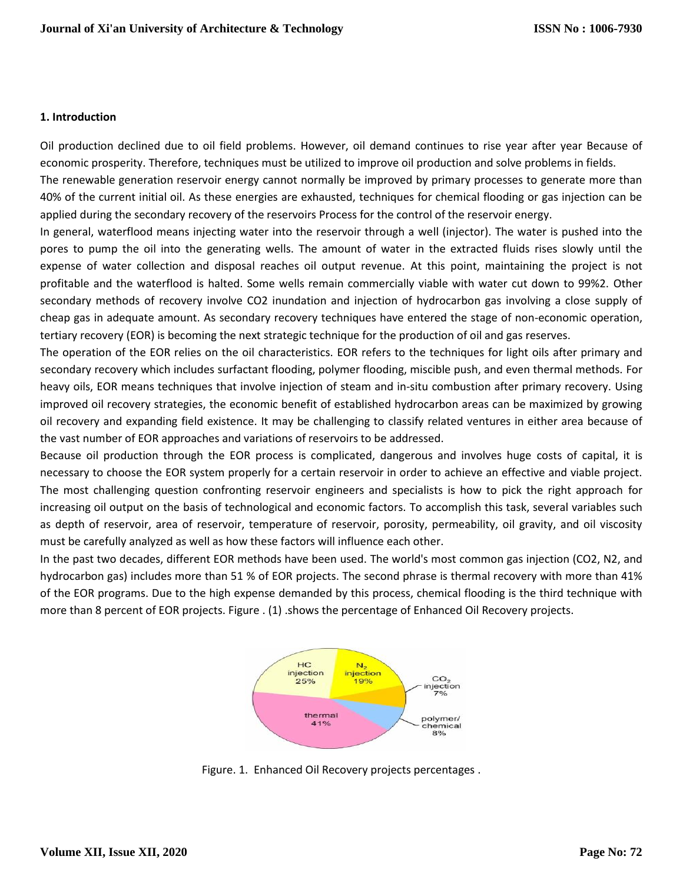#### **1. Introduction**

Oil production declined due to oil field problems. However, oil demand continues to rise year after year Because of economic prosperity. Therefore, techniques must be utilized to improve oil production and solve problems in fields.

The renewable generation reservoir energy cannot normally be improved by primary processes to generate more than 40% of the current initial oil. As these energies are exhausted, techniques for chemical flooding or gas injection can be applied during the secondary recovery of the reservoirs Process for the control of the reservoir energy.

In general, waterflood means injecting water into the reservoir through a well (injector). The water is pushed into the pores to pump the oil into the generating wells. The amount of water in the extracted fluids rises slowly until the expense of water collection and disposal reaches oil output revenue. At this point, maintaining the project is not profitable and the waterflood is halted. Some wells remain commercially viable with water cut down to 99%2. Other secondary methods of recovery involve CO2 inundation and injection of hydrocarbon gas involving a close supply of cheap gas in adequate amount. As secondary recovery techniques have entered the stage of non-economic operation, tertiary recovery (EOR) is becoming the next strategic technique for the production of oil and gas reserves.

The operation of the EOR relies on the oil characteristics. EOR refers to the techniques for light oils after primary and secondary recovery which includes surfactant flooding, polymer flooding, miscible push, and even thermal methods. For heavy oils, EOR means techniques that involve injection of steam and in-situ combustion after primary recovery. Using improved oil recovery strategies, the economic benefit of established hydrocarbon areas can be maximized by growing oil recovery and expanding field existence. It may be challenging to classify related ventures in either area because of the vast number of EOR approaches and variations of reservoirs to be addressed.

Because oil production through the EOR process is complicated, dangerous and involves huge costs of capital, it is necessary to choose the EOR system properly for a certain reservoir in order to achieve an effective and viable project. The most challenging question confronting reservoir engineers and specialists is how to pick the right approach for increasing oil output on the basis of technological and economic factors. To accomplish this task, several variables such as depth of reservoir, area of reservoir, temperature of reservoir, porosity, permeability, oil gravity, and oil viscosity must be carefully analyzed as well as how these factors will influence each other.

In the past two decades, different EOR methods have been used. The world's most common gas injection (CO2, N2, and hydrocarbon gas) includes more than 51 % of EOR projects. The second phrase is thermal recovery with more than 41% of the EOR programs. Due to the high expense demanded by this process, chemical flooding is the third technique with more than 8 percent of EOR projects. Figure . (1) .shows the percentage of Enhanced Oil Recovery projects.



Figure. 1. Enhanced Oil Recovery projects percentages .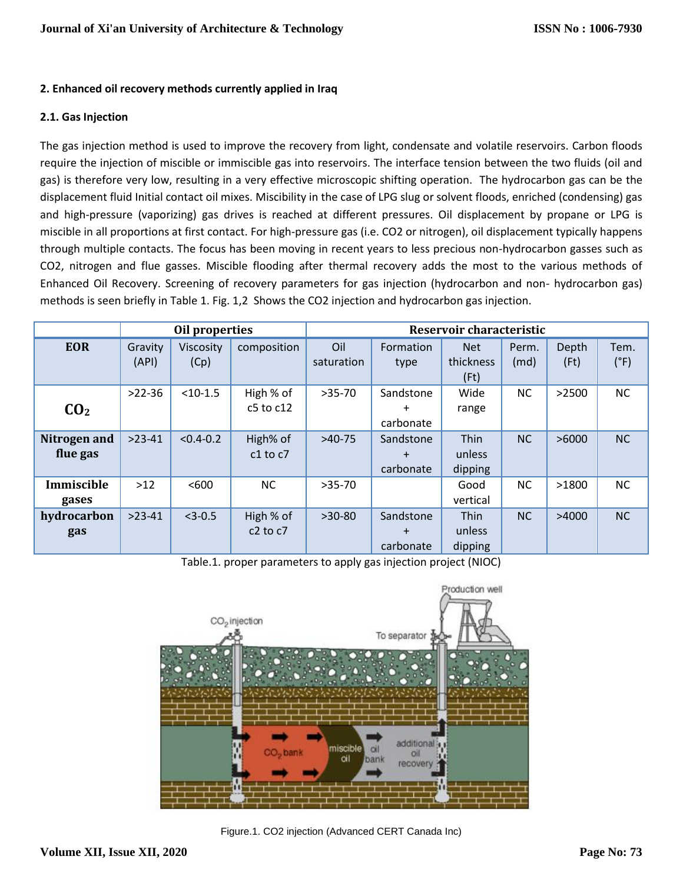### **2. Enhanced oil recovery methods currently applied in Iraq**

#### **2.1. Gas Injection**

The gas injection method is used to improve the recovery from light, condensate and volatile reservoirs. Carbon floods require the injection of miscible or immiscible gas into reservoirs. The interface tension between the two fluids (oil and gas) is therefore very low, resulting in a very effective microscopic shifting operation. The hydrocarbon gas can be the displacement fluid Initial contact oil mixes. Miscibility in the case of LPG slug or solvent floods, enriched (condensing) gas and high-pressure (vaporizing) gas drives is reached at different pressures. Oil displacement by propane or LPG is miscible in all proportions at first contact. For high-pressure gas (i.e. CO2 or nitrogen), oil displacement typically happens through multiple contacts. The focus has been moving in recent years to less precious non-hydrocarbon gasses such as CO2, nitrogen and flue gasses. Miscible flooding after thermal recovery adds the most to the various methods of Enhanced Oil Recovery. Screening of recovery parameters for gas injection (hydrocarbon and non- hydrocarbon gas) methods is seen briefly in Table 1. Fig. 1,2 Shows the CO2 injection and hydrocarbon gas injection.

|                          |                  | Oil properties           |                            | Reservoir characteristic |                                     |                                  |               |               |                       |  |  |
|--------------------------|------------------|--------------------------|----------------------------|--------------------------|-------------------------------------|----------------------------------|---------------|---------------|-----------------------|--|--|
| <b>EOR</b>               | Gravity<br>(API) | <b>Viscosity</b><br>(Cp) | composition                | Oil<br>saturation        | Formation<br>type                   | <b>Net</b><br>thickness<br>(Ft)  | Perm.<br>(md) | Depth<br>(Ft) | Tem.<br>$(^{\circ}F)$ |  |  |
| CO <sub>2</sub>          | $>22-36$         | $< 10 - 1.5$             | High % of<br>$c5$ to $c12$ | $>35-70$                 | Sandstone<br>$\ddot{}$<br>carbonate | Wide<br>range                    | <b>NC</b>     | >2500         | <b>NC</b>             |  |  |
| Nitrogen and<br>flue gas | $>23-41$         | $< 0.4 - 0.2$            | High% of<br>$c1$ to $c7$   | $>40-75$                 | Sandstone<br>$\pm$<br>carbonate     | <b>Thin</b><br>unless<br>dipping | <b>NC</b>     | >6000         | <b>NC</b>             |  |  |
| Immiscible<br>gases      | $>12$            | < 600                    | <b>NC</b>                  | $>35-70$                 |                                     | Good<br>vertical                 | <b>NC</b>     | >1800         | <b>NC</b>             |  |  |
| hydrocarbon<br>gas       | $>23-41$         | $<$ 3-0.5                | High % of<br>$c2$ to $c7$  | $>30-80$                 | Sandstone<br>$\div$<br>carbonate    | <b>Thin</b><br>unless<br>dipping | NC            | >4000         | <b>NC</b>             |  |  |

Table.1. proper parameters to apply gas injection project (NIOC)



Figure.1. CO2 injection (Advanced CERT Canada Inc)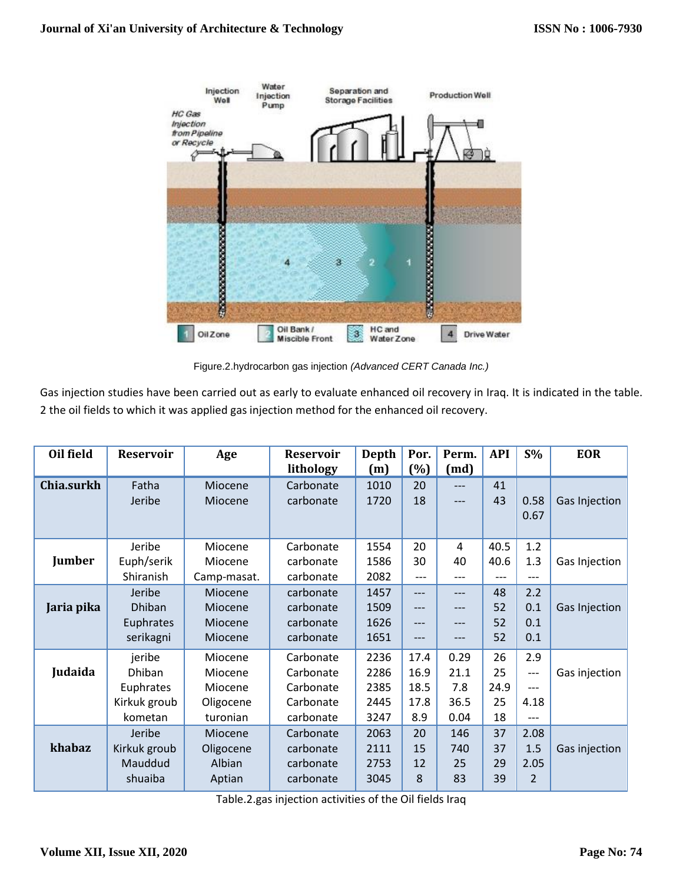

Figure.2.hydrocarbon gas injection *(Advanced CERT Canada Inc.)*

Gas injection studies have been carried out as early to evaluate enhanced oil recovery in Iraq. It is indicated in the table. 2 the oil fields to which it was applied gas injection method for the enhanced oil recovery.

| Oil field  | <b>Reservoir</b> | Age                | <b>Reservoir</b><br>lithology | Depth<br>(m) | Por.<br>$(\%)$ | Perm.<br>(md)  | <b>API</b> | $S\%$ | <b>EOR</b>    |
|------------|------------------|--------------------|-------------------------------|--------------|----------------|----------------|------------|-------|---------------|
| Chia.surkh | Fatha<br>Jeribe  | Miocene<br>Miocene | Carbonate<br>carbonate        | 1010<br>1720 | 20<br>18       | $---$<br>$---$ | 41<br>43   | 0.58  | Gas Injection |
|            |                  |                    |                               |              |                |                |            | 0.67  |               |
|            | Jeribe           | Miocene            | Carbonate                     | 1554         | 20             | 4              | 40.5       | 1.2   |               |
| Jumber     | Euph/serik       | Miocene            | carbonate                     | 1586         | 30             | 40             | 40.6       | 1.3   | Gas Injection |
|            | Shiranish        | Camp-masat.        | carbonate                     | 2082         | ---            | ---            | ---        | ---   |               |
|            | Jeribe           | Miocene            | carbonate                     | 1457         | $---$          | ---            | 48         | 2.2   |               |
| Jaria pika | Dhiban           | Miocene            | carbonate                     | 1509         | ---            | $---$          | 52         | 0.1   | Gas Injection |
|            | Euphrates        | Miocene            | carbonate                     | 1626         | $---$          | ---            | 52         | 0.1   |               |
|            | serikagni        | Miocene            | carbonate                     | 1651         | $---$          | ---            | 52         | 0.1   |               |
|            | jeribe           | Miocene            | Carbonate                     | 2236         | 17.4           | 0.29           | 26         | 2.9   |               |
| Judaida    | <b>Dhiban</b>    | Miocene            | Carbonate                     | 2286         | 16.9           | 21.1           | 25         | ---   | Gas injection |
|            | Euphrates        | Miocene            | Carbonate                     | 2385         | 18.5           | 7.8            | 24.9       | ---   |               |
|            | Kirkuk groub     | Oligocene          | Carbonate                     | 2445         | 17.8           | 36.5           | 25         | 4.18  |               |
|            | kometan          | turonian           | carbonate                     | 3247         | 8.9            | 0.04           | 18         | ---   |               |
|            | Jeribe           | Miocene            | Carbonate                     | 2063         | 20             | 146            | 37         | 2.08  |               |
| khabaz     | Kirkuk groub     | Oligocene          | carbonate                     | 2111         | 15             | 740            | 37         | 1.5   | Gas injection |
|            | Mauddud          | Albian             | carbonate                     | 2753         | 12             | 25             | 29         | 2.05  |               |
|            | shuaiba          | Aptian             | carbonate                     | 3045         | 8              | 83             | 39         | 2     |               |

Table.2.gas injection activities of the Oil fields Iraq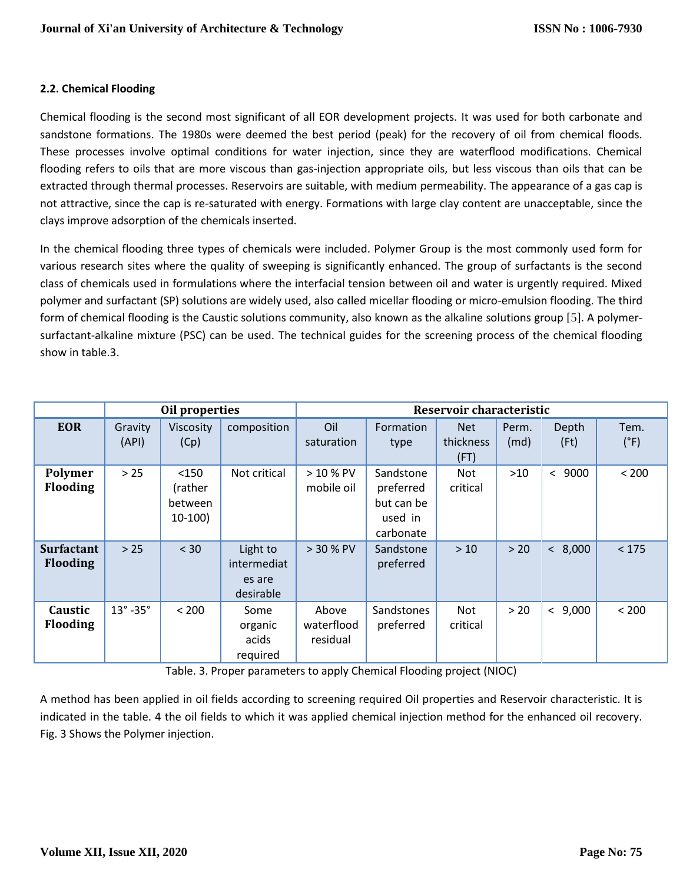### **2.2. Chemical Flooding**

Chemical flooding is the second most significant of all EOR development projects. It was used for both carbonate and sandstone formations. The 1980s were deemed the best period (peak) for the recovery of oil from chemical floods. These processes involve optimal conditions for water injection, since they are waterflood modifications. Chemical flooding refers to oils that are more viscous than gas-injection appropriate oils, but less viscous than oils that can be extracted through thermal processes. Reservoirs are suitable, with medium permeability. The appearance of a gas cap is not attractive, since the cap is re-saturated with energy. Formations with large clay content are unacceptable, since the clays improve adsorption of the chemicals inserted.

In the chemical flooding three types of chemicals were included. Polymer Group is the most commonly used form for various research sites where the quality of sweeping is significantly enhanced. The group of surfactants is the second class of chemicals used in formulations where the interfacial tension between oil and water is urgently required. Mixed polymer and surfactant (SP) solutions are widely used, also called micellar flooding or micro-emulsion flooding. The third form of chemical flooding is the Caustic solutions community, also known as the alkaline solutions group [5]. A polymersurfactant-alkaline mixture (PSC) can be used. The technical guides for the screening process of the chemical flooding show in table.3.

|                                      |                         | Oil properties                          |                                                | Reservoir characteristic        |                                                              |                                 |               |                    |                       |  |
|--------------------------------------|-------------------------|-----------------------------------------|------------------------------------------------|---------------------------------|--------------------------------------------------------------|---------------------------------|---------------|--------------------|-----------------------|--|
| <b>EOR</b>                           | Gravity<br>(API)        | Viscosity<br>(Cp)                       | composition                                    | Oil<br>saturation               | Formation<br>type                                            | <b>Net</b><br>thickness<br>(FT) | Perm.<br>(md) | Depth<br>(Ft)      | Tem.<br>$(^{\circ}F)$ |  |
| Polymer<br><b>Flooding</b>           | > 25                    | < 150<br>(rather<br>between<br>$10-100$ | Not critical                                   | $> 10 %$ PV<br>mobile oil       | Sandstone<br>preferred<br>but can be<br>used in<br>carbonate | Not<br>critical                 | $>10$         | 9000<br>$\,<\,$    | < 200                 |  |
| <b>Surfactant</b><br><b>Flooding</b> | > 25                    | < 30                                    | Light to<br>intermediat<br>es are<br>desirable | > 30 % PV                       | Sandstone<br>preferred                                       | >10                             | > 20          | < 8,000            | < 175                 |  |
| Caustic<br><b>Flooding</b>           | $13^\circ$ -35 $^\circ$ | < 200                                   | Some<br>organic<br>acids<br>required           | Above<br>waterflood<br>residual | Sandstones<br>preferred                                      | Not<br>critical                 | $>20$         | 9,000<br>$\langle$ | < 200                 |  |

Table. 3. Proper parameters to apply Chemical Flooding project (NIOC)

A method has been applied in oil fields according to screening required Oil properties and Reservoir characteristic. It is indicated in the table. 4 the oil fields to which it was applied chemical injection method for the enhanced oil recovery. Fig. 3 Shows the Polymer injection.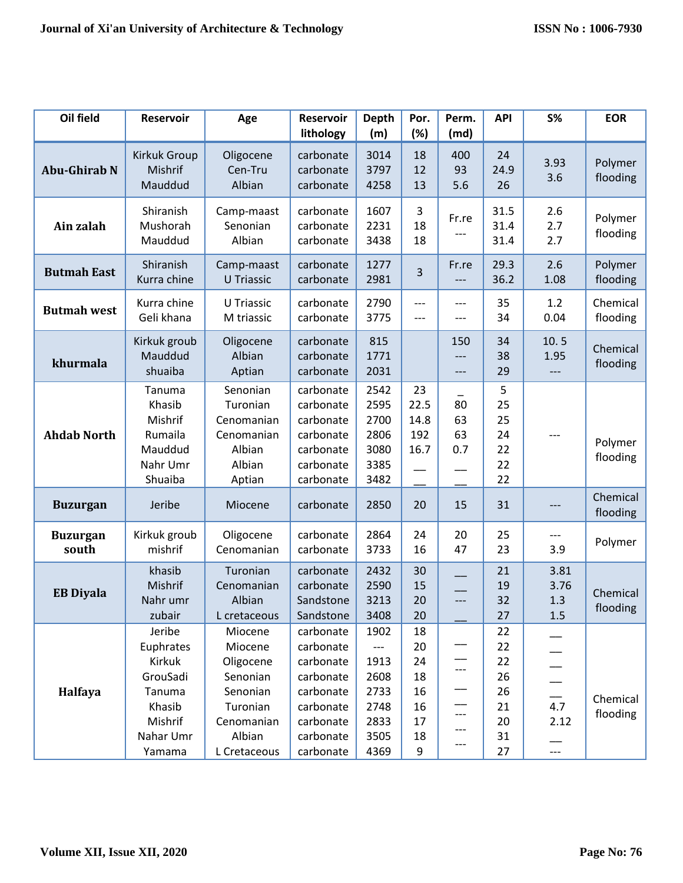| Oil field                | <b>Reservoir</b>                                                                                | Age                                                                                                         | <b>Reservoir</b><br>lithology                                                                                     | <b>Depth</b><br>(m)                                                                 | Por.<br>(%)                                       | Perm.<br>(md)            | <b>API</b>                                         | <b>S%</b>                  | <b>EOR</b>           |
|--------------------------|-------------------------------------------------------------------------------------------------|-------------------------------------------------------------------------------------------------------------|-------------------------------------------------------------------------------------------------------------------|-------------------------------------------------------------------------------------|---------------------------------------------------|--------------------------|----------------------------------------------------|----------------------------|----------------------|
| <b>Abu-Ghirab N</b>      | Kirkuk Group<br>Mishrif<br>Mauddud                                                              | Oligocene<br>Cen-Tru<br>Albian                                                                              | carbonate<br>carbonate<br>carbonate                                                                               | 3014<br>3797<br>4258                                                                | 18<br>12<br>13                                    | 400<br>93<br>5.6         | 24<br>24.9<br>26                                   | 3.93<br>3.6                | Polymer<br>flooding  |
| Ain zalah                | Shiranish<br>Mushorah<br>Mauddud                                                                | Camp-maast<br>Senonian<br>Albian                                                                            | carbonate<br>carbonate<br>carbonate                                                                               | 1607<br>2231<br>3438                                                                | 3<br>18<br>18                                     | Fr.re                    | 31.5<br>31.4<br>31.4                               | 2.6<br>2.7<br>2.7          | Polymer<br>flooding  |
| <b>Butmah East</b>       | Shiranish<br>Kurra chine                                                                        | Camp-maast<br><b>U</b> Triassic                                                                             | carbonate<br>carbonate                                                                                            | 1277<br>2981                                                                        | 3                                                 | Fr.re                    | 29.3<br>36.2                                       | 2.6<br>1.08                | Polymer<br>flooding  |
| <b>Butmah west</b>       | Kurra chine<br>Geli khana                                                                       | U Triassic<br>M triassic                                                                                    | carbonate<br>carbonate                                                                                            | 2790<br>3775                                                                        | $---$<br>$---$                                    | $---$<br>---             | 35<br>34                                           | 1.2<br>0.04                | Chemical<br>flooding |
| khurmala                 | Kirkuk groub<br>Mauddud<br>shuaiba                                                              | Oligocene<br>Albian<br>Aptian                                                                               | carbonate<br>carbonate<br>carbonate                                                                               | 815<br>1771<br>2031                                                                 |                                                   | 150<br>---               | 34<br>38<br>29                                     | 10.5<br>1.95<br>$---$      | Chemical<br>flooding |
| <b>Ahdab North</b>       | Tanuma<br>Khasib<br>Mishrif<br>Rumaila<br>Mauddud<br>Nahr Umr<br>Shuaiba                        | Senonian<br>Turonian<br>Cenomanian<br>Cenomanian<br>Albian<br>Albian<br>Aptian                              | carbonate<br>carbonate<br>carbonate<br>carbonate<br>carbonate<br>carbonate<br>carbonate                           | 2542<br>2595<br>2700<br>2806<br>3080<br>3385<br>3482                                | 23<br>22.5<br>14.8<br>192<br>16.7                 | 80<br>63<br>63<br>0.7    | 5<br>25<br>25<br>24<br>22<br>22<br>22              | ---                        | Polymer<br>flooding  |
| <b>Buzurgan</b>          | Jeribe                                                                                          | Miocene                                                                                                     | carbonate                                                                                                         | 2850                                                                                | 20                                                | 15                       | 31                                                 | ---                        | Chemical<br>flooding |
| <b>Buzurgan</b><br>south | Kirkuk groub<br>mishrif                                                                         | Oligocene<br>Cenomanian                                                                                     | carbonate<br>carbonate                                                                                            | 2864<br>3733                                                                        | 24<br>16                                          | 20<br>47                 | 25<br>23                                           | ---<br>3.9                 | Polymer              |
| <b>EB Diyala</b>         | khasib<br>Mishrif<br>Nahr umr<br>zubair                                                         | Turonian<br>Cenomanian<br>Albian<br>L cretaceous                                                            | carbonate<br>carbonate<br>Sandstone<br>Sandstone                                                                  | 2432<br>2590<br>3213<br>3408                                                        | 30<br>15<br>20<br>20                              | $---$                    | 21<br>19<br>32<br>27                               | 3.81<br>3.76<br>1.3<br>1.5 | Chemical<br>flooding |
| Halfaya                  | Jeribe<br>Euphrates<br>Kirkuk<br>GrouSadi<br>Tanuma<br>Khasib<br>Mishrif<br>Nahar Umr<br>Yamama | Miocene<br>Miocene<br>Oligocene<br>Senonian<br>Senonian<br>Turonian<br>Cenomanian<br>Albian<br>L Cretaceous | carbonate<br>carbonate<br>carbonate<br>carbonate<br>carbonate<br>carbonate<br>carbonate<br>carbonate<br>carbonate | 1902<br>$\qquad \qquad - -$<br>1913<br>2608<br>2733<br>2748<br>2833<br>3505<br>4369 | 18<br>20<br>24<br>18<br>16<br>16<br>17<br>18<br>9 | ---<br>---<br>---<br>--- | 22<br>22<br>22<br>26<br>26<br>21<br>20<br>31<br>27 | 4.7<br>2.12<br>$---$       | Chemical<br>flooding |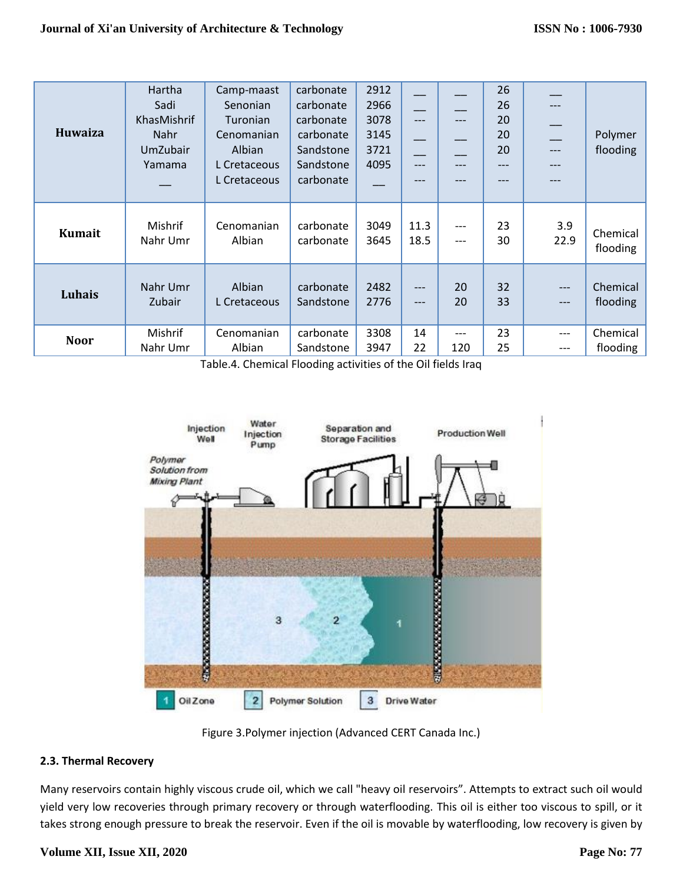| Huwaiza       | Hartha<br>Sadi<br>KhasMishrif<br>Nahr<br>UmZubair<br>Yamama | Camp-maast<br>Senonian<br>Turonian<br>Cenomanian<br>Albian<br>L Cretaceous<br>L Cretaceous | carbonate<br>carbonate<br>carbonate<br>carbonate<br>Sandstone<br>Sandstone<br>carbonate | 2912<br>2966<br>3078<br>3145<br>3721<br>4095 | ---<br>---<br>--- |     | 26<br>26<br>20<br>20<br>20<br>---<br>--- |       | Polymer<br>flooding |
|---------------|-------------------------------------------------------------|--------------------------------------------------------------------------------------------|-----------------------------------------------------------------------------------------|----------------------------------------------|-------------------|-----|------------------------------------------|-------|---------------------|
| <b>Kumait</b> | Mishrif                                                     | Cenomanian                                                                                 | carbonate                                                                               | 3049                                         | 11.3              | --- | 23                                       | 3.9   | Chemical            |
|               | Nahr Umr                                                    | Albian                                                                                     | carbonate                                                                               | 3645                                         | 18.5              | --- | 30                                       | 22.9  | flooding            |
| Luhais        | Nahr Umr                                                    | Albian                                                                                     | carbonate                                                                               | 2482                                         | ---               | 20  | 32                                       | $---$ | Chemical            |
|               | <b>Zubair</b>                                               | L Cretaceous                                                                               | Sandstone                                                                               | 2776                                         | $---$             | 20  | 33                                       | $---$ | flooding            |
| <b>Noor</b>   | Mishrif                                                     | Cenomanian                                                                                 | carbonate                                                                               | 3308                                         | 14                | --- | 23                                       | $---$ | Chemical            |
|               | Nahr Umr                                                    | Albian                                                                                     | Sandstone                                                                               | 3947                                         | 22                | 120 | 25                                       | ---   | flooding            |

Table.4. Chemical Flooding activities of the Oil fields Iraq



Figure 3.Polymer injection (Advanced CERT Canada Inc.)

# **2.3. Thermal Recovery**

Many reservoirs contain highly viscous crude oil, which we call "heavy oil reservoirs". Attempts to extract such oil would yield very low recoveries through primary recovery or through waterflooding. This oil is either too viscous to spill, or it takes strong enough pressure to break the reservoir. Even if the oil is movable by waterflooding, low recovery is given by

#### **Volume XII, Issue XII, 2020**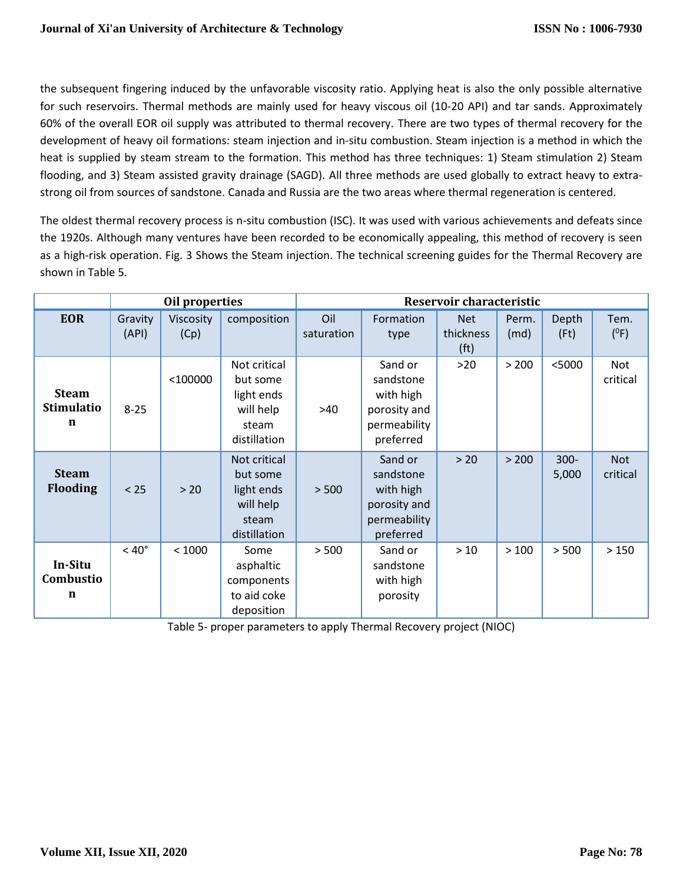the subsequent fingering induced by the unfavorable viscosity ratio. Applying heat is also the only possible alternative for such reservoirs. Thermal methods are mainly used for heavy viscous oil (10-20 API) and tar sands. Approximately 60% of the overall EOR oil supply was attributed to thermal recovery. There are two types of thermal recovery for the development of heavy oil formations: steam injection and in-situ combustion. Steam injection is a method in which the heat is supplied by steam stream to the formation. This method has three techniques: 1) Steam stimulation 2) Steam flooding, and 3) Steam assisted gravity drainage (SAGD). All three methods are used globally to extract heavy to extrastrong oil from sources of sandstone. Canada and Russia are the two areas where thermal regeneration is centered.

The oldest thermal recovery process is n-situ combustion (ISC). It was used with various achievements and defeats since the 1920s. Although many ventures have been recorded to be economically appealing, this method of recovery is seen as a high-risk operation. Fig. 3 Shows the Steam injection. The technical screening guides for the Thermal Recovery are shown in Table 5.

|                                        |                  | Oil properties    |                                                                              | Reservoir characteristic |                                                                                |                                              |               |                     |                        |  |  |
|----------------------------------------|------------------|-------------------|------------------------------------------------------------------------------|--------------------------|--------------------------------------------------------------------------------|----------------------------------------------|---------------|---------------------|------------------------|--|--|
| <b>EOR</b>                             | Gravity<br>(API) | Viscosity<br>(Cp) | composition                                                                  | Oil<br>saturation        | Formation<br>type                                                              | <b>Net</b><br>thickness<br>(f <sub>t</sub> ) | Perm.<br>(md) | Depth<br>$($ Ft $)$ | Tem.<br>$(^{0}F)$      |  |  |
| <b>Steam</b><br><b>Stimulatio</b><br>n | $8 - 25$         | $<$ 100000        | Not critical<br>but some<br>light ends<br>will help<br>steam<br>distillation | >40                      | Sand or<br>sandstone<br>with high<br>porosity and<br>permeability<br>preferred | $>20$                                        | > 200         | $<$ 5000            | Not<br>critical        |  |  |
| <b>Steam</b><br><b>Flooding</b>        | $< 25$           | > 20              | Not critical<br>but some<br>light ends<br>will help<br>steam<br>distillation | > 500                    | Sand or<br>sandstone<br>with high<br>porosity and<br>permeability<br>preferred | > 20                                         | > 200         | $300 -$<br>5,000    | <b>Not</b><br>critical |  |  |
| In-Situ<br>Combustio<br>n              | $< 40^{\circ}$   | < 1000            | Some<br>asphaltic<br>components<br>to aid coke<br>deposition                 | > 500                    | Sand or<br>sandstone<br>with high<br>porosity                                  | $>10$                                        | >100          | > 500               | >150                   |  |  |

Table 5- proper parameters to apply Thermal Recovery project (NIOC)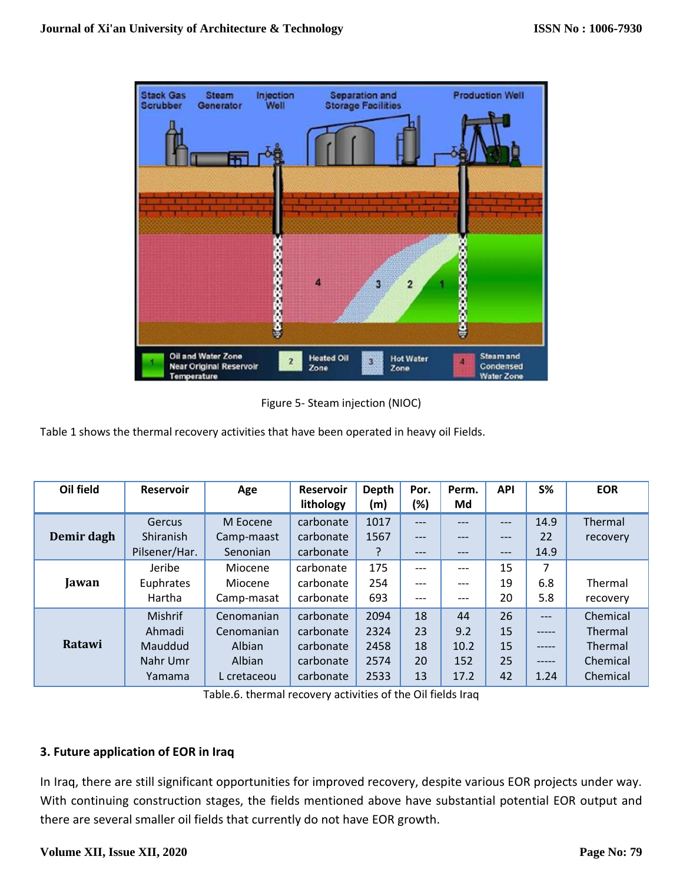

Figure 5- Steam injection (NIOC)

Table 1 shows the thermal recovery activities that have been operated in heavy oil Fields.

| Oil field  | Reservoir      | Age         | <b>Reservoir</b> | Depth | Por.   | Perm. | <b>API</b> | <b>S%</b> | <b>EOR</b> |
|------------|----------------|-------------|------------------|-------|--------|-------|------------|-----------|------------|
|            |                |             | lithology        | (m)   | $(\%)$ | Md    |            |           |            |
|            | Gercus         | M Eocene    | carbonate        | 1017  | ---    | $---$ | $---$      | 14.9      | Thermal    |
| Demir dagh | Shiranish      | Camp-maast  | carbonate        | 1567  | ---    | ---   | ---        | 22        | recovery   |
|            | Pilsener/Har.  | Senonian    | carbonate        |       | ---    | $---$ | ---        | 14.9      |            |
|            | Jeribe         | Miocene     | carbonate        | 175   | ---    | ---   | 15         | 7         |            |
| Jawan      | Euphrates      | Miocene     | carbonate        | 254   | ---    | ---   | 19         | 6.8       | Thermal    |
|            | Hartha         | Camp-masat  | carbonate        | 693   | ---    | $---$ | 20         | 5.8       | recovery   |
|            | <b>Mishrif</b> | Cenomanian  | carbonate        | 2094  | 18     | 44    | 26         | $---$     | Chemical   |
|            | Ahmadi         | Cenomanian  | carbonate        | 2324  | 23     | 9.2   | 15         | $--- - -$ | Thermal    |
| Ratawi     | Mauddud        | Albian      | carbonate        | 2458  | 18     | 10.2  | 15         | -----     | Thermal    |
|            | Nahr Umr       | Albian      | carbonate        | 2574  | 20     | 152   | 25         | $--- - -$ | Chemical   |
|            | Yamama         | L cretaceou | carbonate        | 2533  | 13     | 17.2  | 42         | 1.24      | Chemical   |

Table.6. thermal recovery activities of the Oil fields Iraq

# **3. Future application of EOR in Iraq**

In Iraq, there are still significant opportunities for improved recovery, despite various EOR projects under way. With continuing construction stages, the fields mentioned above have substantial potential EOR output and there are several smaller oil fields that currently do not have EOR growth.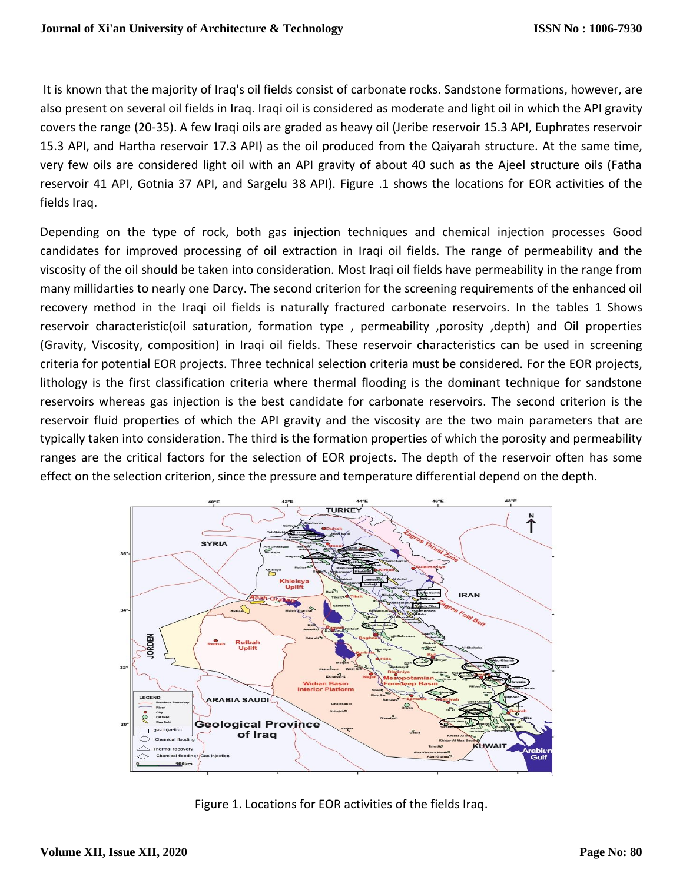It is known that the majority of Iraq's oil fields consist of carbonate rocks. Sandstone formations, however, are also present on several oil fields in Iraq. Iraqi oil is considered as moderate and light oil in which the API gravity covers the range (20-35). A few Iraqi oils are graded as heavy oil (Jeribe reservoir 15.3 API, Euphrates reservoir 15.3 API, and Hartha reservoir 17.3 API) as the oil produced from the Qaiyarah structure. At the same time, very few oils are considered light oil with an API gravity of about 40 such as the Ajeel structure oils (Fatha reservoir 41 API, Gotnia 37 API, and Sargelu 38 API). Figure .1 shows the locations for EOR activities of the fields Iraq.

Depending on the type of rock, both gas injection techniques and chemical injection processes Good candidates for improved processing of oil extraction in Iraqi oil fields. The range of permeability and the viscosity of the oil should be taken into consideration. Most Iraqi oil fields have permeability in the range from many millidarties to nearly one Darcy. The second criterion for the screening requirements of the enhanced oil recovery method in the Iraqi oil fields is naturally fractured carbonate reservoirs. In the tables 1 Shows reservoir characteristic(oil saturation, formation type , permeability ,porosity ,depth) and Oil properties (Gravity, Viscosity, composition) in Iraqi oil fields. These reservoir characteristics can be used in screening criteria for potential EOR projects. Three technical selection criteria must be considered. For the EOR projects, lithology is the first classification criteria where thermal flooding is the dominant technique for sandstone reservoirs whereas gas injection is the best candidate for carbonate reservoirs. The second criterion is the reservoir fluid properties of which the API gravity and the viscosity are the two main parameters that are typically taken into consideration. The third is the formation properties of which the porosity and permeability ranges are the critical factors for the selection of EOR projects. The depth of the reservoir often has some effect on the selection criterion, since the pressure and temperature differential depend on the depth.



Figure 1. Locations for EOR activities of the fields Iraq.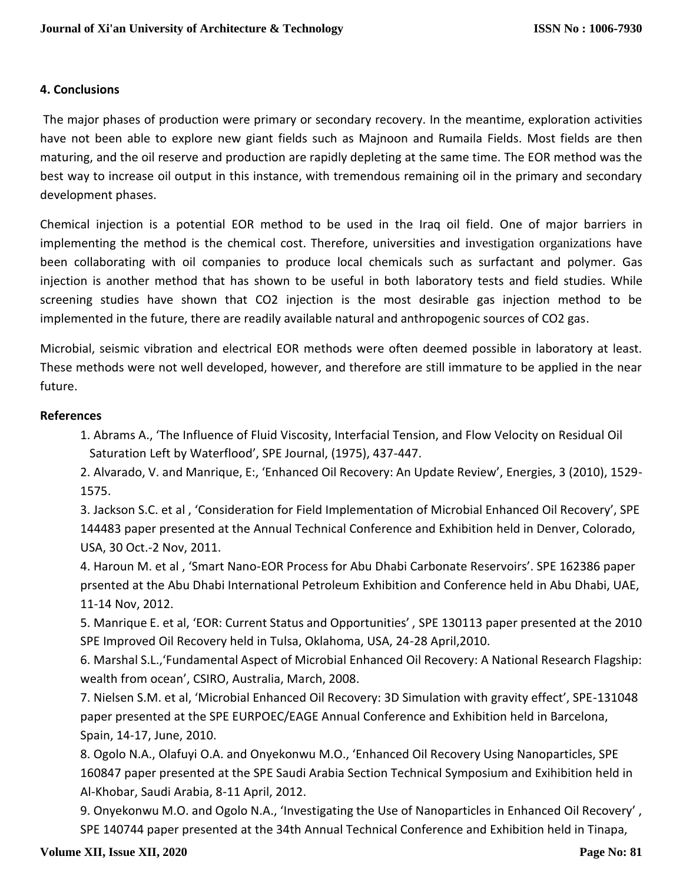# **4. Conclusions**

The major phases of production were primary or secondary recovery. In the meantime, exploration activities have not been able to explore new giant fields such as Majnoon and Rumaila Fields. Most fields are then maturing, and the oil reserve and production are rapidly depleting at the same time. The EOR method was the best way to increase oil output in this instance, with tremendous remaining oil in the primary and secondary development phases.

Chemical injection is a potential EOR method to be used in the Iraq oil field. One of major barriers in implementing the method is the chemical cost. Therefore, universities and investigation organizations have been collaborating with oil companies to produce local chemicals such as surfactant and polymer. Gas injection is another method that has shown to be useful in both laboratory tests and field studies. While screening studies have shown that CO2 injection is the most desirable gas injection method to be implemented in the future, there are readily available natural and anthropogenic sources of CO2 gas.

Microbial, seismic vibration and electrical EOR methods were often deemed possible in laboratory at least. These methods were not well developed, however, and therefore are still immature to be applied in the near future.

# **References**

1. Abrams A., 'The Influence of Fluid Viscosity, Interfacial Tension, and Flow Velocity on Residual Oil Saturation Left by Waterflood', SPE Journal, (1975), 437-447.

2. Alvarado, V. and Manrique, E:, 'Enhanced Oil Recovery: An Update Review', Energies, 3 (2010), 1529- 1575.

3. Jackson S.C. et al , 'Consideration for Field Implementation of Microbial Enhanced Oil Recovery', SPE 144483 paper presented at the Annual Technical Conference and Exhibition held in Denver, Colorado, USA, 30 Oct.-2 Nov, 2011.

4. Haroun M. et al , 'Smart Nano-EOR Process for Abu Dhabi Carbonate Reservoirs'. SPE 162386 paper prsented at the Abu Dhabi International Petroleum Exhibition and Conference held in Abu Dhabi, UAE, 11-14 Nov, 2012.

5. Manrique E. et al, 'EOR: Current Status and Opportunities' , SPE 130113 paper presented at the 2010 SPE Improved Oil Recovery held in Tulsa, Oklahoma, USA, 24-28 April,2010.

6. Marshal S.L.,'Fundamental Aspect of Microbial Enhanced Oil Recovery: A National Research Flagship: wealth from ocean', CSIRO, Australia, March, 2008.

7. Nielsen S.M. et al, 'Microbial Enhanced Oil Recovery: 3D Simulation with gravity effect', SPE-131048 paper presented at the SPE EURPOEC/EAGE Annual Conference and Exhibition held in Barcelona, Spain, 14-17, June, 2010.

8. Ogolo N.A., Olafuyi O.A. and Onyekonwu M.O., 'Enhanced Oil Recovery Using Nanoparticles, SPE 160847 paper presented at the SPE Saudi Arabia Section Technical Symposium and Exihibition held in Al-Khobar, Saudi Arabia, 8-11 April, 2012.

9. Onyekonwu M.O. and Ogolo N.A., 'Investigating the Use of Nanoparticles in Enhanced Oil Recovery' , SPE 140744 paper presented at the 34th Annual Technical Conference and Exhibition held in Tinapa,